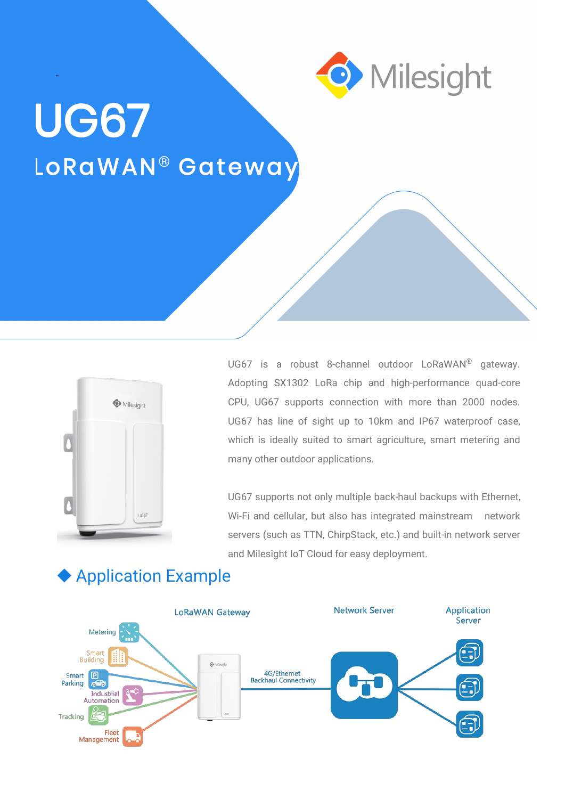

# **UG67** LoRaWAN<sup>®</sup> Gateway

-



UG67 is a robust 8-channel outdoor LoRaWAN ® gateway. Adopting SX1302 LoRa chip and high-performance quad-core CPU, UG67 supports connection with more than 2000 nodes. UG67 has line of sight up to 10km and IP67 waterproof case, which is ideally suited to smart agriculture, smart metering and many other outdoor applications.

UG67 supports not only multiple back-haul backups with Ethernet, Wi-Fi and cellular, but also has integrated mainstream network servers (such as TTN, ChirpStack, etc.) and built-in network server and Milesight IoT Cloud for easy deployment.



#### Application Example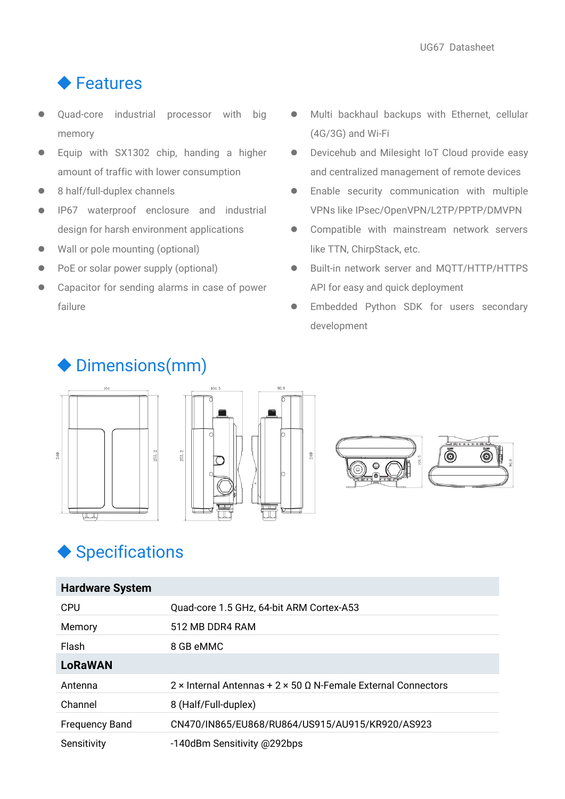#### ◆ Features

- Quad-core industrial processor with big memory
- **•** Equip with SX1302 chip, handing a higher amount of traffic with lower consumption
- 8 half/full-duplex channels
- IP67 waterproof enclosure and industrial design for harsh environment applications  $\bullet$
- Wall or pole mounting (optional)
- PoE or solar power supply (optional)
- Capacitor for sending alarms in case of power failure
- Multi backhaul backups with Ethernet, cellular (4G/3G) and Wi-Fi
- Devicehub and Milesight IoT Cloud provide easy and centralized management of remote devices
- **•** Enable security communication with multiple VPNs like IPsec/OpenVPN/L2TP/PPTP/DMVPN
- Compatible with mainstream network servers like TTN, ChirpStack, etc.
- Built-in network server and MQTT/HTTP/HTTPS API for easy and quick deployment
- Embedded Python SDK for users secondary development

#### Dimensions(mm)









### Specifications

| <b>Hardware System</b> |                                                                             |
|------------------------|-----------------------------------------------------------------------------|
| <b>CPU</b>             | Quad-core 1.5 GHz, 64-bit ARM Cortex-A53                                    |
| Memory                 | 512 MB DDR4 RAM                                                             |
| Flash                  | 8 GB eMMC                                                                   |
| <b>LoRaWAN</b>         |                                                                             |
| Antenna                | $2 \times$ Internal Antennas + 2 × 50 $\Omega$ N-Female External Connectors |
| Channel                | 8 (Half/Full-duplex)                                                        |
| <b>Frequency Band</b>  | CN470/IN865/EU868/RU864/US915/AU915/KR920/AS923                             |
| Sensitivity            | -140dBm Sensitivity @292bps                                                 |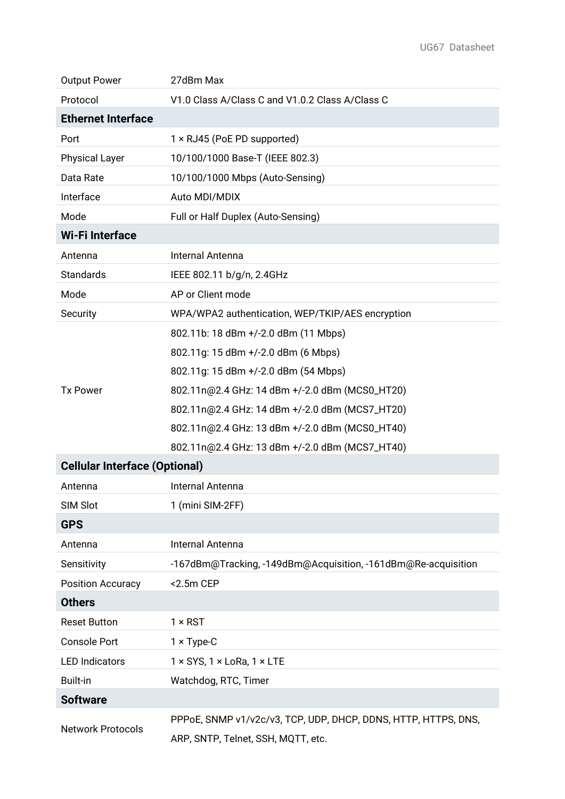| <b>Output Power</b>                  | 27dBm Max                                                      |  |  |
|--------------------------------------|----------------------------------------------------------------|--|--|
| Protocol                             | V1.0 Class A/Class C and V1.0.2 Class A/Class C                |  |  |
| <b>Ethernet Interface</b>            |                                                                |  |  |
| Port                                 | 1 × RJ45 (PoE PD supported)                                    |  |  |
| <b>Physical Layer</b>                | 10/100/1000 Base-T (IEEE 802.3)                                |  |  |
| Data Rate                            | 10/100/1000 Mbps (Auto-Sensing)                                |  |  |
| Interface                            | Auto MDI/MDIX                                                  |  |  |
| Mode                                 | Full or Half Duplex (Auto-Sensing)                             |  |  |
| <b>Wi-Filnterface</b>                |                                                                |  |  |
| Antenna                              | Internal Antenna                                               |  |  |
| Standards                            | IEEE 802.11 b/g/n, 2.4GHz                                      |  |  |
| Mode                                 | AP or Client mode                                              |  |  |
| Security                             | WPA/WPA2 authentication, WEP/TKIP/AES encryption               |  |  |
|                                      | 802.11b: 18 dBm +/-2.0 dBm (11 Mbps)                           |  |  |
|                                      | 802.11g: 15 dBm +/-2.0 dBm (6 Mbps)                            |  |  |
|                                      | 802.11g: 15 dBm +/-2.0 dBm (54 Mbps)                           |  |  |
| <b>Tx Power</b>                      | 802.11n@2.4 GHz: 14 dBm +/-2.0 dBm (MCS0_HT20)                 |  |  |
|                                      | 802.11n@2.4 GHz: 14 dBm +/-2.0 dBm (MCS7_HT20)                 |  |  |
|                                      | 802.11n@2.4 GHz: 13 dBm +/-2.0 dBm (MCS0_HT40)                 |  |  |
|                                      | 802.11n@2.4 GHz: 13 dBm +/-2.0 dBm (MCS7_HT40)                 |  |  |
| <b>Cellular Interface (Optional)</b> |                                                                |  |  |
| Antenna                              | Internal Antenna                                               |  |  |
| SIM Slot                             | 1 (mini SIM-2FF)                                               |  |  |
| <b>GPS</b>                           |                                                                |  |  |
| Antenna                              | Internal Antenna                                               |  |  |
| Sensitivity                          | -167dBm@Tracking, -149dBm@Acquisition, -161dBm@Re-acquisition  |  |  |
| <b>Position Accuracy</b>             | $<$ 2.5 $m$ CEP                                                |  |  |
| <b>Others</b>                        |                                                                |  |  |
| <b>Reset Button</b>                  | $1 \times RST$                                                 |  |  |
| <b>Console Port</b>                  | $1 \times Type-C$                                              |  |  |
| <b>LED Indicators</b>                | $1 \times$ SYS, $1 \times$ LoRa, $1 \times$ LTE                |  |  |
| <b>Built-in</b>                      | Watchdog, RTC, Timer                                           |  |  |
| <b>Software</b>                      |                                                                |  |  |
| <b>Network Protocols</b>             | PPPoE, SNMP v1/v2c/v3, TCP, UDP, DHCP, DDNS, HTTP, HTTPS, DNS, |  |  |
|                                      | ARP, SNTP, Telnet, SSH, MQTT, etc.                             |  |  |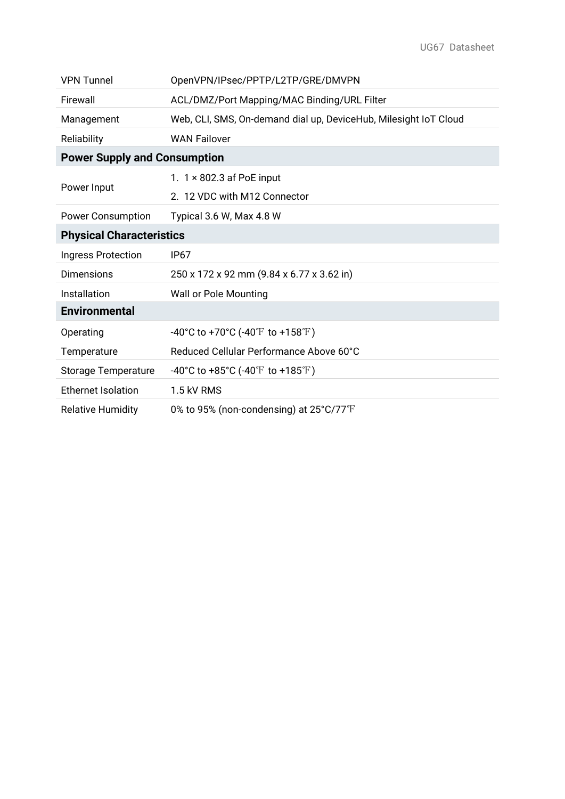| <b>VPN Tunnel</b>                   | OpenVPN/IPsec/PPTP/L2TP/GRE/DMVPN                                |  |
|-------------------------------------|------------------------------------------------------------------|--|
| Firewall                            | ACL/DMZ/Port Mapping/MAC Binding/URL Filter                      |  |
| Management                          | Web, CLI, SMS, On-demand dial up, DeviceHub, Milesight IoT Cloud |  |
| Reliability                         | <b>WAN Failover</b>                                              |  |
| <b>Power Supply and Consumption</b> |                                                                  |  |
|                                     | 1. $1 \times 802.3$ af PoE input                                 |  |
| Power Input                         | 2. 12 VDC with M12 Connector                                     |  |
| <b>Power Consumption</b>            | Typical 3.6 W, Max 4.8 W                                         |  |
| <b>Physical Characteristics</b>     |                                                                  |  |
| Ingress Protection                  | IP <sub>67</sub>                                                 |  |
| <b>Dimensions</b>                   | 250 x 172 x 92 mm (9.84 x 6.77 x 3.62 in)                        |  |
| Installation                        | <b>Wall or Pole Mounting</b>                                     |  |
| <b>Environmental</b>                |                                                                  |  |
| Operating                           | -40°C to +70°C (-40°F to +158°F)                                 |  |
| Temperature                         | Reduced Cellular Performance Above 60°C                          |  |
| <b>Storage Temperature</b>          | -40°C to +85°C (-40°F to +185°F)                                 |  |
| <b>Ethernet Isolation</b>           | 1.5 kV RMS                                                       |  |
| <b>Relative Humidity</b>            | 0% to 95% (non-condensing) at 25°C/77°F                          |  |